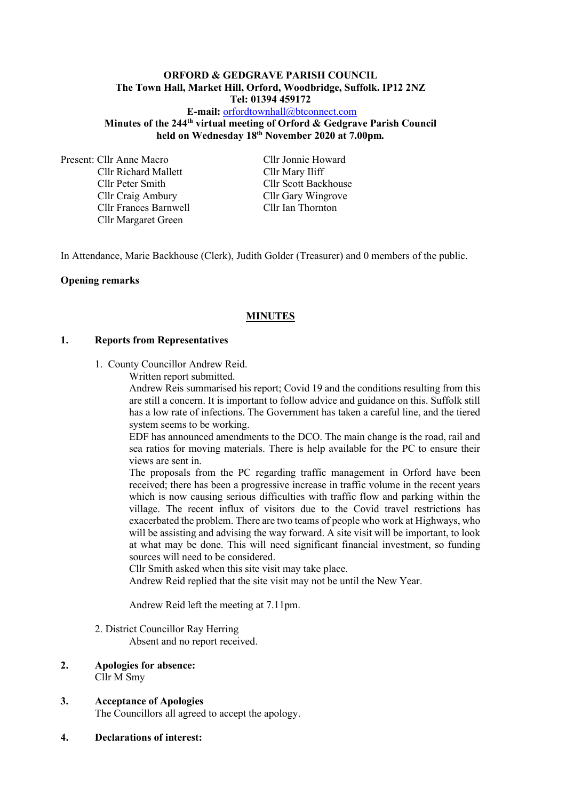#### **ORFORD & GEDGRAVE PARISH COUNCIL The Town Hall, Market Hill, Orford, Woodbridge, Suffolk. IP12 2NZ Tel: 01394 459172**

**E-mail:** [orfordtownhall@btconnect.com](mailto:orfordtownhall@btconnect.com) **Minutes of the 244 th virtual meeting of Orford & Gedgrave Parish Council held on Wednesday 18 th November 2020 at 7.00pm***.*

Present: Cllr Anne Macro Cllr Jonnie Howard Cllr Richard Mallett Cllr Mary Iliff Cllr Peter Smith Cllr Scott Backhouse Cllr Craig Ambury Cllr Gary Wingrove Cllr Frances Barnwell Cllr Ian Thornton Cllr Margaret Green

In Attendance, Marie Backhouse (Clerk), Judith Golder (Treasurer) and 0 members of the public.

#### **Opening remarks**

### **MINUTES**

#### **1. Reports from Representatives**

1. County Councillor Andrew Reid.

Written report submitted.

Andrew Reis summarised his report; Covid 19 and the conditions resulting from this are still a concern. It is important to follow advice and guidance on this. Suffolk still has a low rate of infections. The Government has taken a careful line, and the tiered system seems to be working.

EDF has announced amendments to the DCO. The main change is the road, rail and sea ratios for moving materials. There is help available for the PC to ensure their views are sent in.

The proposals from the PC regarding traffic management in Orford have been received; there has been a progressive increase in traffic volume in the recent years which is now causing serious difficulties with traffic flow and parking within the village. The recent influx of visitors due to the Covid travel restrictions has exacerbated the problem. There are two teams of people who work at Highways, who will be assisting and advising the way forward. A site visit will be important, to look at what may be done. This will need significant financial investment, so funding sources will need to be considered.

Cllr Smith asked when this site visit may take place.

Andrew Reid replied that the site visit may not be until the New Year.

Andrew Reid left the meeting at 7.11pm.

2. District Councillor Ray Herring

Absent and no report received.

#### **2. Apologies for absence:** Cllr M Smy

#### **3. Acceptance of Apologies**

The Councillors all agreed to accept the apology.

**4. Declarations of interest:**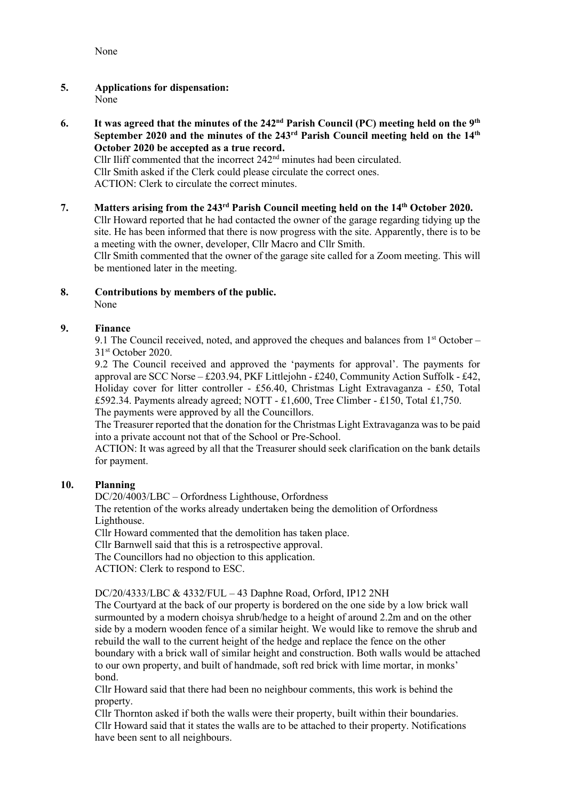None

- **5. Applications for dispensation:** None
- **6.** It was agreed that the minutes of the 242<sup>nd</sup> Parish Council (PC) meeting held on the 9<sup>th</sup> **September 2020 and the minutes of the 243rd Parish Council meeting held on the 14th October 2020 be accepted as a true record.** Cllr Iliff commented that the incorrect 242<sup>nd</sup> minutes had been circulated.

Cllr Smith asked if the Clerk could please circulate the correct ones. ACTION: Clerk to circulate the correct minutes.

**7. Matters arising from the 243 rd Parish Council meeting held on the 14th October 2020.** Cllr Howard reported that he had contacted the owner of the garage regarding tidying up the site. He has been informed that there is now progress with the site. Apparently, there is to be a meeting with the owner, developer, Cllr Macro and Cllr Smith.

Cllr Smith commented that the owner of the garage site called for a Zoom meeting. This will be mentioned later in the meeting.

**8. Contributions by members of the public.** None

# **9. Finance**

9.1 The Council received, noted, and approved the cheques and balances from  $1<sup>st</sup>$  October – 31 st October 2020.

9.2 The Council received and approved the 'payments for approval'. The payments for approval are SCC Norse – £203.94, PKF Littlejohn - £240, Community Action Suffolk - £42, Holiday cover for litter controller - £56.40, Christmas Light Extravaganza - £50, Total £592.34. Payments already agreed; NOTT - £1,600, Tree Climber - £150, Total £1,750. The payments were approved by all the Councillors.

The Treasurer reported that the donation for the Christmas Light Extravaganza was to be paid into a private account not that of the School or Pre-School.

ACTION: It was agreed by all that the Treasurer should seek clarification on the bank details for payment.

# **10. Planning**

DC/20/4003/LBC – Orfordness Lighthouse, Orfordness

The retention of the works already undertaken being the demolition of Orfordness Lighthouse.

Cllr Howard commented that the demolition has taken place.

Cllr Barnwell said that this is a retrospective approval.

The Councillors had no objection to this application.

ACTION: Clerk to respond to ESC.

DC/20/4333/LBC & 4332/FUL – 43 Daphne Road, Orford, IP12 2NH

The Courtyard at the back of our property is bordered on the one side by a low brick wall surmounted by a modern choisya shrub/hedge to a height of around 2.2m and on the other side by a modern wooden fence of a similar height. We would like to remove the shrub and rebuild the wall to the current height of the hedge and replace the fence on the other boundary with a brick wall of similar height and construction. Both walls would be attached to our own property, and built of handmade, soft red brick with lime mortar, in monks' bond.

Cllr Howard said that there had been no neighbour comments, this work is behind the property.

Cllr Thornton asked if both the walls were their property, built within their boundaries. Cllr Howard said that it states the walls are to be attached to their property. Notifications have been sent to all neighbours.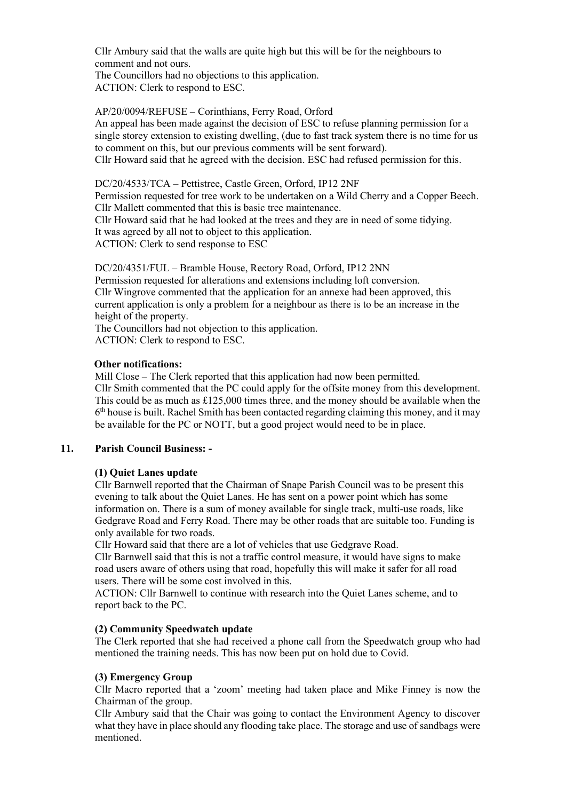Cllr Ambury said that the walls are quite high but this will be for the neighbours to comment and not ours. The Councillors had no objections to this application.

ACTION: Clerk to respond to ESC.

AP/20/0094/REFUSE – Corinthians, Ferry Road, Orford

An appeal has been made against the decision of ESC to refuse planning permission for a single storey extension to existing dwelling, (due to fast track system there is no time for us to comment on this, but our previous comments will be sent forward).

Cllr Howard said that he agreed with the decision. ESC had refused permission for this.

DC/20/4533/TCA – Pettistree, Castle Green, Orford, IP12 2NF

Permission requested for tree work to be undertaken on a Wild Cherry and a Copper Beech. Cllr Mallett commented that this is basic tree maintenance.

Cllr Howard said that he had looked at the trees and they are in need of some tidying. It was agreed by all not to object to this application.

ACTION: Clerk to send response to ESC

DC/20/4351/FUL – Bramble House, Rectory Road, Orford, IP12 2NN Permission requested for alterations and extensions including loft conversion. Cllr Wingrove commented that the application for an annexe had been approved, this current application is only a problem for a neighbour as there is to be an increase in the height of the property.

The Councillors had not objection to this application. ACTION: Clerk to respond to ESC.

**Other notifications:**

Mill Close – The Clerk reported that this application had now been permitted. Cllr Smith commented that the PC could apply for the offsite money from this development. This could be as much as  $£125,000$  times three, and the money should be available when the 6<sup>th</sup> house is built. Rachel Smith has been contacted regarding claiming this money, and it may be available for the PC or NOTT, but a good project would need to be in place.

#### **11. Parish Council Business: -**

# **(1) Quiet Lanes update**

Cllr Barnwell reported that the Chairman of Snape Parish Council was to be present this evening to talk about the Quiet Lanes. He has sent on a power point which has some information on. There is a sum of money available for single track, multi-use roads, like Gedgrave Road and Ferry Road. There may be other roads that are suitable too. Funding is only available for two roads.

Cllr Howard said that there are a lot of vehicles that use Gedgrave Road.

Cllr Barnwell said that this is not a traffic control measure, it would have signs to make road users aware of others using that road, hopefully this will make it safer for all road users. There will be some cost involved in this.

ACTION: Cllr Barnwell to continue with research into the Quiet Lanes scheme, and to report back to the PC.

#### **(2) Community Speedwatch update**

The Clerk reported that she had received a phone call from the Speedwatch group who had mentioned the training needs. This has now been put on hold due to Covid.

#### **(3) Emergency Group**

Cllr Macro reported that a 'zoom' meeting had taken place and Mike Finney is now the Chairman of the group.

Cllr Ambury said that the Chair was going to contact the Environment Agency to discover what they have in place should any flooding take place. The storage and use of sandbags were mentioned.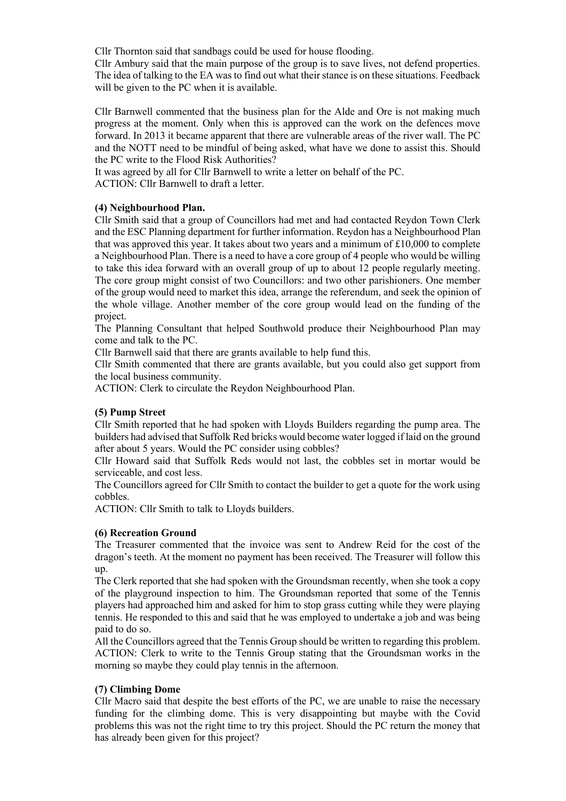Cllr Thornton said that sandbags could be used for house flooding.

Cllr Ambury said that the main purpose of the group is to save lives, not defend properties. The idea of talking to the EA was to find out what their stance is on these situations. Feedback will be given to the PC when it is available.

Cllr Barnwell commented that the business plan for the Alde and Ore is not making much progress at the moment. Only when this is approved can the work on the defences move forward. In 2013 it became apparent that there are vulnerable areas of the river wall. The PC and the NOTT need to be mindful of being asked, what have we done to assist this. Should the PC write to the Flood Risk Authorities?

It was agreed by all for Cllr Barnwell to write a letter on behalf of the PC. ACTION: Cllr Barnwell to draft a letter.

#### **(4) Neighbourhood Plan.**

Cllr Smith said that a group of Councillors had met and had contacted Reydon Town Clerk and the ESC Planning department for further information. Reydon has a Neighbourhood Plan that was approved this year. It takes about two years and a minimum of £10,000 to complete a Neighbourhood Plan. There is a need to have a core group of 4 people who would be willing to take this idea forward with an overall group of up to about 12 people regularly meeting. The core group might consist of two Councillors: and two other parishioners. One member of the group would need to market this idea, arrange the referendum, and seek the opinion of the whole village. Another member of the core group would lead on the funding of the project.

The Planning Consultant that helped Southwold produce their Neighbourhood Plan may come and talk to the PC.

Cllr Barnwell said that there are grants available to help fund this.

Cllr Smith commented that there are grants available, but you could also get support from the local business community.

ACTION: Clerk to circulate the Reydon Neighbourhood Plan.

#### **(5) Pump Street**

Cllr Smith reported that he had spoken with Lloyds Builders regarding the pump area. The builders had advised that Suffolk Red bricks would become water logged if laid on the ground after about 5 years. Would the PC consider using cobbles?

Cllr Howard said that Suffolk Reds would not last, the cobbles set in mortar would be serviceable, and cost less.

The Councillors agreed for Cllr Smith to contact the builder to get a quote for the work using cobbles.

ACTION: Cllr Smith to talk to Lloyds builders.

# **(6) Recreation Ground**

The Treasurer commented that the invoice was sent to Andrew Reid for the cost of the dragon's teeth. At the moment no payment has been received. The Treasurer will follow this up.

The Clerk reported that she had spoken with the Groundsman recently, when she took a copy of the playground inspection to him. The Groundsman reported that some of the Tennis players had approached him and asked for him to stop grass cutting while they were playing tennis. He responded to this and said that he was employed to undertake a job and was being paid to do so.

All the Councillors agreed that the Tennis Group should be written to regarding this problem. ACTION: Clerk to write to the Tennis Group stating that the Groundsman works in the morning so maybe they could play tennis in the afternoon.

# **(7) Climbing Dome**

Cllr Macro said that despite the best efforts of the PC, we are unable to raise the necessary funding for the climbing dome. This is very disappointing but maybe with the Covid problems this was not the right time to try this project. Should the PC return the money that has already been given for this project?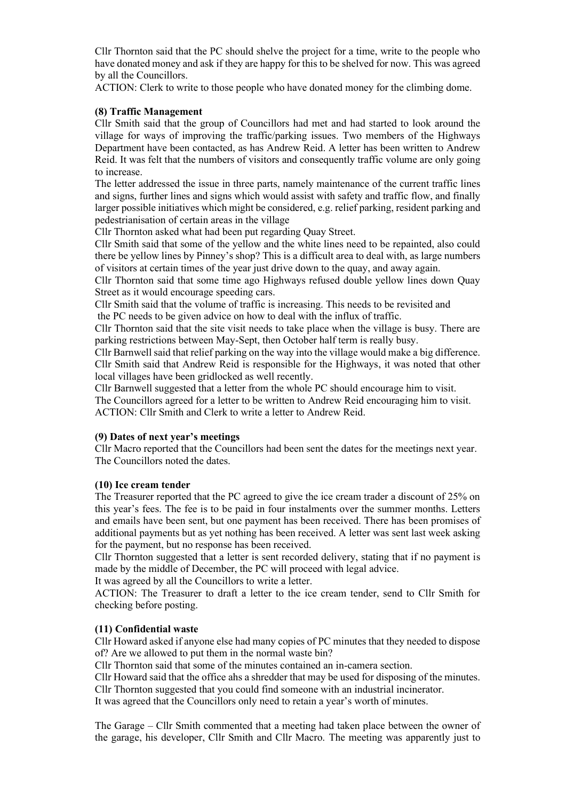Cllr Thornton said that the PC should shelve the project for a time, write to the people who have donated money and ask if they are happy for this to be shelved for now. This was agreed by all the Councillors.

ACTION: Clerk to write to those people who have donated money for the climbing dome.

### **(8) Traffic Management**

Cllr Smith said that the group of Councillors had met and had started to look around the village for ways of improving the traffic/parking issues. Two members of the Highways Department have been contacted, as has Andrew Reid. A letter has been written to Andrew Reid. It was felt that the numbers of visitors and consequently traffic volume are only going to increase.

The letter addressed the issue in three parts, namely maintenance of the current traffic lines and signs, further lines and signs which would assist with safety and traffic flow, and finally larger possible initiatives which might be considered, e.g. relief parking, resident parking and pedestrianisation of certain areas in the village

Cllr Thornton asked what had been put regarding Quay Street.

Cllr Smith said that some of the yellow and the white lines need to be repainted, also could there be yellow lines by Pinney's shop? This is a difficult area to deal with, as large numbers of visitors at certain times of the year just drive down to the quay, and away again.

Cllr Thornton said that some time ago Highways refused double yellow lines down Quay Street as it would encourage speeding cars.

Cllr Smith said that the volume of traffic is increasing. This needs to be revisited and the PC needs to be given advice on how to deal with the influx of traffic.

Cllr Thornton said that the site visit needs to take place when the village is busy. There are parking restrictions between May-Sept, then October half term is really busy.

Cllr Barnwell said that relief parking on the way into the village would make a big difference. Cllr Smith said that Andrew Reid is responsible for the Highways, it was noted that other local villages have been gridlocked as well recently.

Cllr Barnwell suggested that a letter from the whole PC should encourage him to visit.

The Councillors agreed for a letter to be written to Andrew Reid encouraging him to visit. ACTION: Cllr Smith and Clerk to write a letter to Andrew Reid.

#### **(9) Dates of next year's meetings**

Cllr Macro reported that the Councillors had been sent the dates for the meetings next year. The Councillors noted the dates.

### **(10) Ice cream tender**

The Treasurer reported that the PC agreed to give the ice cream trader a discount of 25% on this year's fees. The fee is to be paid in four instalments over the summer months. Letters and emails have been sent, but one payment has been received. There has been promises of additional payments but as yet nothing has been received. A letter was sent last week asking for the payment, but no response has been received.

Cllr Thornton suggested that a letter is sent recorded delivery, stating that if no payment is made by the middle of December, the PC will proceed with legal advice.

It was agreed by all the Councillors to write a letter.

ACTION: The Treasurer to draft a letter to the ice cream tender, send to Cllr Smith for checking before posting.

#### **(11) Confidential waste**

Cllr Howard asked if anyone else had many copies of PC minutes that they needed to dispose of? Are we allowed to put them in the normal waste bin?

Cllr Thornton said that some of the minutes contained an in-camera section.

Cllr Howard said that the office ahs a shredder that may be used for disposing of the minutes.

Cllr Thornton suggested that you could find someone with an industrial incinerator.

It was agreed that the Councillors only need to retain a year's worth of minutes.

The Garage – Cllr Smith commented that a meeting had taken place between the owner of the garage, his developer, Cllr Smith and Cllr Macro. The meeting was apparently just to